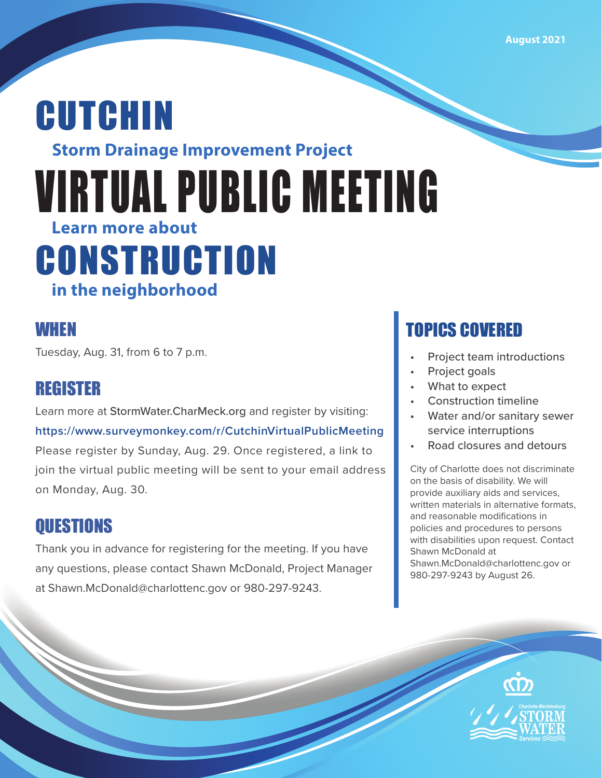# **Storm Drainage Improvement Project** CUTCHIN VIRTUAL PUBLIC MEETING **CONSTRUCTION in the neighborhood Learn more about**

### WHEN

Tuesday, Aug. 31, from 6 to 7 p.m.

## REGISTER

Learn more at StormWater.CharMeck.org and register by visiting: **https://www.surveymonkey.com/r/CutchinVirtualPublicMeeting** Please register by Sunday, Aug. 29. Once registered, a link to join the virtual public meeting will be sent to your email address on Monday, Aug. 30.

# **OUESTIONS**

Thank you in advance for registering for the meeting. If you have any questions, please contact Shawn McDonald, Project Manager at Shawn.McDonald@charlottenc.gov or 980-297-9243.

# TOPICS COVERED

- Project team introductions
- Project goals
- What to expect
- Construction timeline
- Water and/or sanitary sewer service interruptions
- Road closures and detours

City of Charlotte does not discriminate on the basis of disability. We will provide auxiliary aids and services, written materials in alternative formats, and reasonable modifications in policies and procedures to persons with disabilities upon request. Contact Shawn McDonald at Shawn.McDonald@charlottenc.gov or 980-297-9243 by August 26.